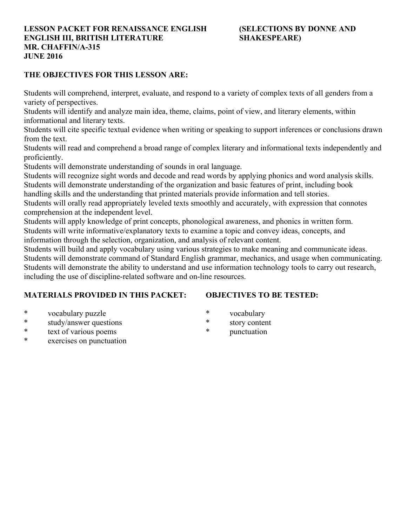#### **LESSON PACKET FOR RENAISSANCE ENGLISH (SELECTIONS BY DONNE AND ENGLISH III, BRITISH LITERATURE SHAKESPEARE MR. CHAFFIN/A-315 JUNE 2016**

#### **THE OBJECTIVES FOR THIS LESSON ARE:**

Students will comprehend, interpret, evaluate, and respond to a variety of complex texts of all genders from a variety of perspectives.

Students will identify and analyze main idea, theme, claims, point of view, and literary elements, within informational and literary texts.

Students will cite specific textual evidence when writing or speaking to support inferences or conclusions drawn from the text.

Students will read and comprehend a broad range of complex literary and informational texts independently and proficiently.

Students will demonstrate understanding of sounds in oral language.

Students will recognize sight words and decode and read words by applying phonics and word analysis skills. Students will demonstrate understanding of the organization and basic features of print, including book

handling skills and the understanding that printed materials provide information and tell stories.

Students will orally read appropriately leveled texts smoothly and accurately, with expression that connotes comprehension at the independent level.

Students will apply knowledge of print concepts, phonological awareness, and phonics in written form. Students will write informative/explanatory texts to examine a topic and convey ideas, concepts, and

information through the selection, organization, and analysis of relevant content.

Students will build and apply vocabulary using various strategies to make meaning and communicate ideas. Students will demonstrate command of Standard English grammar, mechanics, and usage when communicating. Students will demonstrate the ability to understand and use information technology tools to carry out research, including the use of discipline-related software and on-line resources.

## **MATERIALS PROVIDED IN THIS PACKET:**

## **OBJECTIVES TO BE TESTED:**

- \* vocabulary puzzle
- \* study/answer questions
- \* text of various poems
- \* exercises on punctuation
- \* vocabulary
- \* story content
- \* punctuation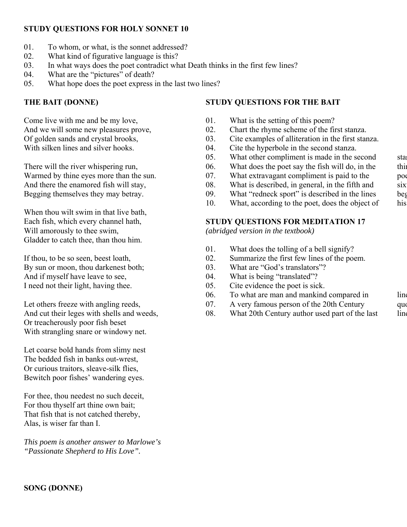## **STUDY QUESTIONS FOR HOLY SONNET 10**

- 01. To whom, or what, is the sonnet addressed?
- 02. What kind of figurative language is this?
- 03. In what ways does the poet contradict what Death thinks in the first few lines?
- 04. What are the "pictures" of death?
- 05. What hope does the poet express in the last two lines?

## **THE BAIT (DONNE)**

Come live with me and be my love, And we will some new pleasures prove, Of golden sands and crystal brooks, With silken lines and silver hooks.

There will the river whispering run, Warmed by thine eyes more than the sun. And there the enamored fish will stay, Begging themselves they may betray.

When thou wilt swim in that live bath, Each fish, which every channel hath, Will amorously to thee swim, Gladder to catch thee, than thou him.

If thou, to be so seen, beest loath, By sun or moon, thou darkenest both; And if myself have leave to see, I need not their light, having thee.

Let others freeze with angling reeds, And cut their leges with shells and weeds, Or treacherously poor fish beset With strangling snare or windowy net.

Let coarse bold hands from slimy nest The bedded fish in banks out-wrest, Or curious traitors, sleave-silk flies, Bewitch poor fishes' wandering eyes.

For thee, thou needest no such deceit, For thou thyself art thine own bait; That fish that is not catched thereby, Alas, is wiser far than I.

*This poem is another answer to Marlowe's "Passionate Shepherd to His Love".*

## **STUDY QUESTIONS FOR THE BAIT**

- 01. What is the setting of this poem?
- 02. Chart the rhyme scheme of the first stanza.
- 03. Cite examples of alliteration in the first stanza.
- 04. Cite the hyperbole in the second stanza.
- 05. What other compliment is made in the second sta
- 06. What does the poet say the fish will do, in the thirt
- 07. What extravagant compliment is paid to the poe
- 08. What is described, in general, in the fifth and  $six$
- 09. What "redneck sport" is described in the lines beg
- 10. What, according to the poet, does the object of his

## **STUDY QUESTIONS FOR MEDITATION 17**

*(abridged version in the textbook)*

- 01. What does the tolling of a bell signify?
- 02. Summarize the first few lines of the poem.
- 03. What are "God's translators"?
- 04. What is being "translated"?
- 05. Cite evidence the poet is sick.
- 06. To what are man and mankind compared in line
- 07. A very famous person of the 20th Century quote quote quote quote quote a very famous person of the 20th Century
- 08. What 20th Century author used part of the last line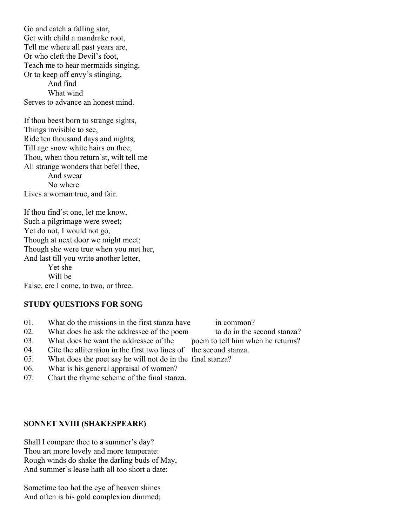Go and catch a falling star, Get with child a mandrake root, Tell me where all past years are, Or who cleft the Devil's foot, Teach me to hear mermaids singing, Or to keep off envy's stinging, And find What wind Serves to advance an honest mind.

If thou beest born to strange sights, Things invisible to see, Ride ten thousand days and nights, Till age snow white hairs on thee, Thou, when thou return'st, wilt tell me All strange wonders that befell thee, And swear No where Lives a woman true, and fair.

If thou find'st one, let me know, Such a pilgrimage were sweet; Yet do not, I would not go, Though at next door we might meet; Though she were true when you met her, And last till you write another letter, Yet she

Will be

# False, ere I come, to two, or three.

#### **STUDY QUESTIONS FOR SONG**

- 01. What do the missions in the first stanza have in common?
- 02. What does he ask the addressee of the poem to do in the second stanza?
- 03. What does he want the addressee of the poem to tell him when he returns?
- 04. Cite the alliteration in the first two lines of the second stanza.
- 05. What does the poet say he will not do in the final stanza?
- 06. What is his general appraisal of women?
- 07. Chart the rhyme scheme of the final stanza.

#### **SONNET XVIII (SHAKESPEARE)**

Shall I compare thee to a summer's day? Thou art more lovely and more temperate: Rough winds do shake the darling buds of May, And summer's lease hath all too short a date:

Sometime too hot the eye of heaven shines And often is his gold complexion dimmed;

- 
- 
-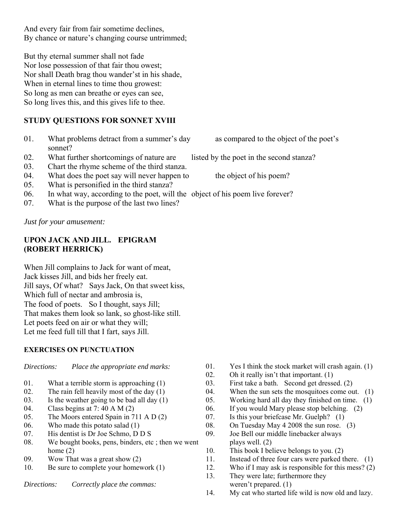And every fair from fair sometime declines, By chance or nature's changing course untrimmed;

But thy eternal summer shall not fade Nor lose possession of that fair thou owest; Nor shall Death brag thou wander'st in his shade, When in eternal lines to time thou growest: So long as men can breathe or eyes can see, So long lives this, and this gives life to thee.

## **STUDY QUESTIONS FOR SONNET XVIII**

- 01. What problems detract from a summer's day as compared to the object of the poet's sonnet?
- 02. What further shortcomings of nature are listed by the poet in the second stanza?
- 03. Chart the rhyme scheme of the third stanza.
- 04. What does the poet say will never happen to the object of his poem?
- 05. What is personified in the third stanza?
- 06. In what way, according to the poet, will the object of his poem live forever?
- 07. What is the purpose of the last two lines?

*Just for your amusement:*

#### **UPON JACK AND JILL. EPIGRAM (ROBERT HERRICK)**

When Jill complains to Jack for want of meat, Jack kisses Jill, and bids her freely eat. Jill says, Of what? Says Jack, On that sweet kiss, Which full of nectar and ambrosia is, The food of poets. So I thought, says Jill; That makes them look so lank, so ghost-like still. Let poets feed on air or what they will; Let me feed full till that I fart, says Jill.

#### **EXERCISES ON PUNCTUATION**

*Directions: Place the appropriate end marks:*

- 01. What a terrible storm is approaching (1)
- 02. The rain fell heavily most of the day  $(1)$
- 03. Is the weather going to be bad all day (1)
- 04. Class begins at 7: 40 A M (2)
- 05. The Moors entered Spain in 711 A D (2)
- 06. Who made this potato salad (1)
- 07. His dentist is Dr Joe Schmo, D D S
- 08. We bought books, pens, binders, etc ; then we went home (2)
- 09. Wow That was a great show (2)
- 10. Be sure to complete your homework (1)
- *Directions: Correctly place the commas:*
- 01. Yes I think the stock market will crash again. (1)
- 02. Oh it really isn't that important.  $(1)$
- 03. First take a bath. Second get dressed. (2)
- 04. When the sun sets the mosquitoes come out. (1)
- 05. Working hard all day they finished on time. (1)
- 06. If you would Mary please stop belching. (2)
- 07. Is this your briefcase Mr. Guelph? (1)
- 08. On Tuesday May 4 2008 the sun rose. (3)
- 09. Joe Bell our middle linebacker always plays well. (2)
- 10. This book I believe belongs to you. (2)
- 11. Instead of three four cars were parked there. (1)
- 12. Who if I may ask is responsible for this mess? (2)
- 13. They were late; furthermore they weren't prepared. (1)
- 14. My cat who started life wild is now old and lazy.